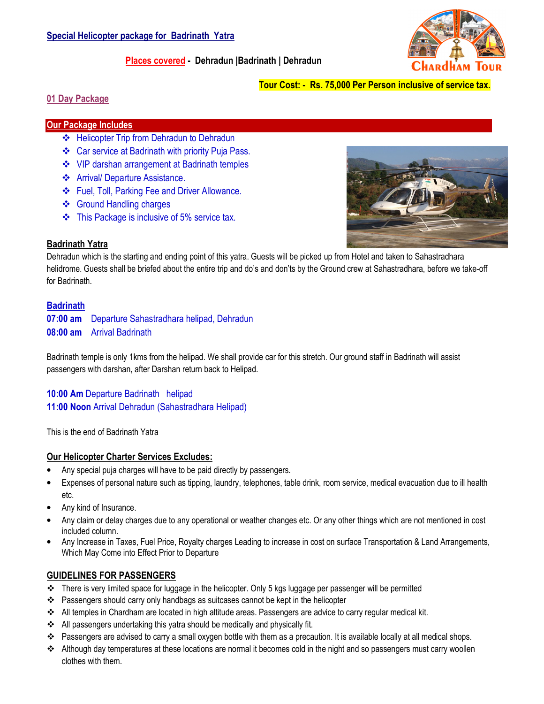

# Places covered - Dehradun |Badrinath | Dehradun

# Tour Cost: - Rs. 75,000 Per Person inclusive of service tax.

## 01 Day Package

## Our Package Includes

- ❖ Helicopter Trip from Dehradun to Dehradun
- Car service at Badrinath with priority Puja Pass.
- $\cdot\cdot\cdot$  VIP darshan arrangement at Badrinath temples
- Arrival/ Departure Assistance.
- Fuel, Toll, Parking Fee and Driver Allowance.
- ❖ Ground Handling charges
- This Package is inclusive of 5% service tax.



# Badrinath Yatra

Dehradun which is the starting and ending point of this yatra. Guests will be picked up from Hotel and taken to Sahastradhara helidrome. Guests shall be briefed about the entire trip and do's and don'ts by the Ground crew at Sahastradhara, before we take-off for Badrinath.

## **Badrinath**

07:00 am Departure Sahastradhara helipad, Dehradun 08:00 am Arrival Badrinath

Badrinath temple is only 1kms from the helipad. We shall provide car for this stretch. Our ground staff in Badrinath will assist passengers with darshan, after Darshan return back to Helipad.

10:00 Am Departure Badrinath helipad 11:00 Noon Arrival Dehradun (Sahastradhara Helipad)

This is the end of Badrinath Yatra

#### Our Helicopter Charter Services Excludes:

- Any special puja charges will have to be paid directly by passengers.
- Expenses of personal nature such as tipping, laundry, telephones, table drink, room service, medical evacuation due to ill health etc.
- Any kind of Insurance.
- Any claim or delay charges due to any operational or weather changes etc. Or any other things which are not mentioned in cost included column.
- Any Increase in Taxes, Fuel Price, Royalty charges Leading to increase in cost on surface Transportation & Land Arrangements, Which May Come into Effect Prior to Departure

# GUIDELINES FOR PASSENGERS

- $\div$  There is very limited space for luggage in the helicopter. Only 5 kgs luggage per passenger will be permitted
- \* Passengers should carry only handbags as suitcases cannot be kept in the helicopter
- All temples in Chardham are located in high altitude areas. Passengers are advice to carry regular medical kit.
- All passengers undertaking this yatra should be medically and physically fit.
- Passengers are advised to carry a small oxygen bottle with them as a precaution. It is available locally at all medical shops.
- Although day temperatures at these locations are normal it becomes cold in the night and so passengers must carry woollen clothes with them.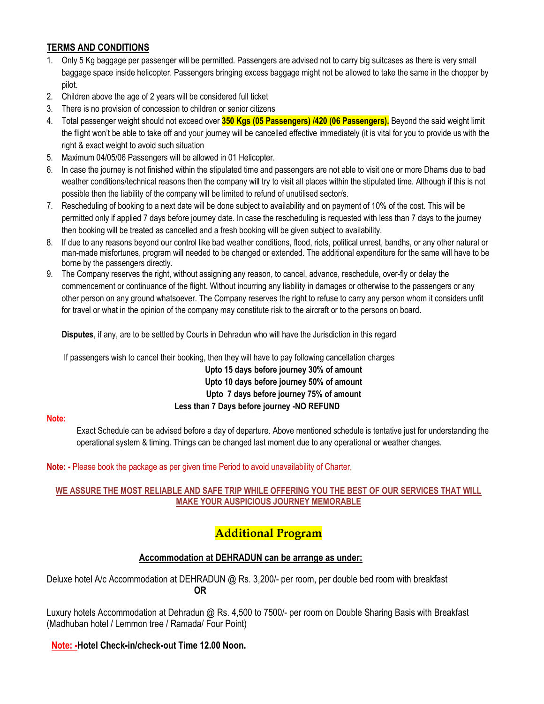# TERMS AND CONDITIONS

- 1. Only 5 Kg baggage per passenger will be permitted. Passengers are advised not to carry big suitcases as there is very small baggage space inside helicopter. Passengers bringing excess baggage might not be allowed to take the same in the chopper by pilot.
- 2. Children above the age of 2 years will be considered full ticket
- 3. There is no provision of concession to children or senior citizens
- 4. Total passenger weight should not exceed over 350 Kgs (05 Passengers) /420 (06 Passengers). Beyond the said weight limit the flight won't be able to take off and your journey will be cancelled effective immediately (it is vital for you to provide us with the right & exact weight to avoid such situation
- 5. Maximum 04/05/06 Passengers will be allowed in 01 Helicopter.
- 6. In case the journey is not finished within the stipulated time and passengers are not able to visit one or more Dhams due to bad weather conditions/technical reasons then the company will try to visit all places within the stipulated time. Although if this is not possible then the liability of the company will be limited to refund of unutilised sector/s.
- 7. Rescheduling of booking to a next date will be done subject to availability and on payment of 10% of the cost. This will be permitted only if applied 7 days before journey date. In case the rescheduling is requested with less than 7 days to the journey then booking will be treated as cancelled and a fresh booking will be given subject to availability.
- 8. If due to any reasons beyond our control like bad weather conditions, flood, riots, political unrest, bandhs, or any other natural or man-made misfortunes, program will needed to be changed or extended. The additional expenditure for the same will have to be borne by the passengers directly.
- 9. The Company reserves the right, without assigning any reason, to cancel, advance, reschedule, over-fly or delay the commencement or continuance of the flight. Without incurring any liability in damages or otherwise to the passengers or any other person on any ground whatsoever. The Company reserves the right to refuse to carry any person whom it considers unfit for travel or what in the opinion of the company may constitute risk to the aircraft or to the persons on board.

Disputes, if any, are to be settled by Courts in Dehradun who will have the Jurisdiction in this regard

If passengers wish to cancel their booking, then they will have to pay following cancellation charges

Upto 15 days before journey 30% of amount Upto 10 days before journey 50% of amount Upto 7 days before journey 75% of amount Less than 7 Days before journey -NO REFUND

#### Note:

Exact Schedule can be advised before a day of departure. Above mentioned schedule is tentative just for understanding the operational system & timing. Things can be changed last moment due to any operational or weather changes.

#### Note: - Please book the package as per given time Period to avoid unavailability of Charter,

## WE ASSURE THE MOST RELIABLE AND SAFE TRIP WHILE OFFERING YOU THE BEST OF OUR SERVICES THAT WILL MAKE YOUR AUSPICIOUS JOURNEY MEMORABLE

# Additional Program

# Accommodation at DEHRADUN can be arrange as under:

Deluxe hotel A/c Accommodation at DEHRADUN @ Rs. 3,200/- per room, per double bed room with breakfast OR

Luxury hotels Accommodation at Dehradun @ Rs. 4,500 to 7500/- per room on Double Sharing Basis with Breakfast (Madhuban hotel / Lemmon tree / Ramada/ Four Point)

# Note: -Hotel Check-in/check-out Time 12.00 Noon.